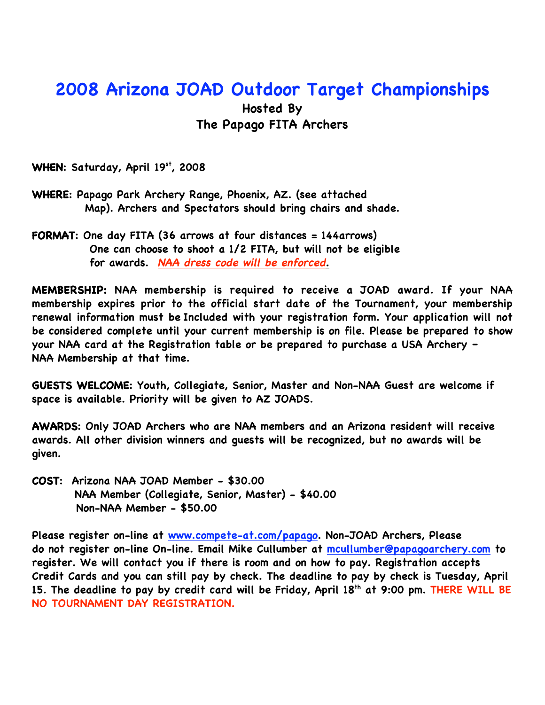## **2008 Arizona JOAD Outdoor Target Championships**

## **Hosted By The Papago FITA Archers**

**WHEN: Saturday, April 19st, 2008**

- **WHERE: Papago Park Archery Range, Phoenix, AZ. (see attached Map). Archers and Spectators should bring chairs and shade.**
- **FORMAT: One day FITA (36 arrows at four distances = 144arrows) One can choose to shoot a 1/2 FITA, but will not be eligible for awards. NAA dress code will be enforced.**

**MEMBERSHIP: NAA membership is required to receive a JOAD award. If your NAA membership expires prior to the official start date of the Tournament, your membership renewal information must be Included with your registration form. Your application will not be considered complete until your current membership is on file. Please be prepared to show your NAA card at the Registration table or be prepared to purchase a USA Archery – NAA Membership at that time.**

**GUESTS WELCOME: Youth, Collegiate, Senior, Master and Non-NAA Guest are welcome if space is available. Priority will be given to AZ JOADS.**

**AWARDS: Only JOAD Archers who are NAA members and an Arizona resident will receive awards. All other division winners and guests will be recognized, but no awards will be given.**

**COST: Arizona NAA JOAD Member - \$30.00 NAA Member (Collegiate, Senior, Master) - \$40.00 Non-NAA Member - \$50.00**

**Please register on-line at www.compete-at.com/papago. Non-JOAD Archers, Please do not register on-line On-line. Email Mike Cullumber at mcullumber@papagoarchery.com to register. We will contact you if there is room and on how to pay. Registration accepts Credit Cards and you can still pay by check. The deadline to pay by check is Tuesday, April** 15. The deadline to pay by credit card will be Friday, April 18<sup>th</sup> at 9:00 pm. THERE WILL BE **NO TOURNAMENT DAY REGISTRATION.**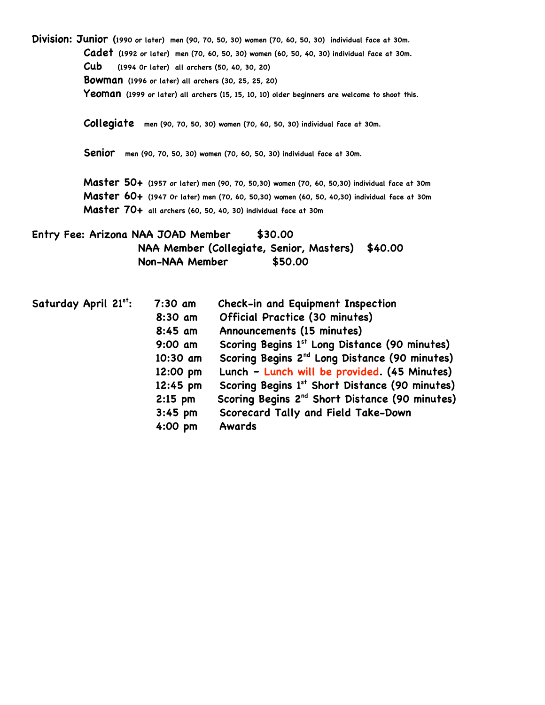**Division: Junior (1990 or later) men (90, 70, 50, 30) women (70, 60, 50, 30) individual face at 30m. Cadet (1992 or later) men (70, 60, 50, 30) women (60, 50, 40, 30) individual face at 30m. Cub (1994 0r later) all archers (50, 40, 30, 20) Bowman (1996 or later) all archers (30, 25, 25, 20) Yeoman (1999 or later) all archers (15, 15, 10, 10) older beginners are welcome to shoot this.**

 **Collegiate men (90, 70, 50, 30) women (70, 60, 50, 30) individual face at 30m.**

 **Senior men (90, 70, 50, 30) women (70, 60, 50, 30) individual face at 30m.**

 **Master 50+ (1957 or later) men (90, 70, 50,30) women (70, 60, 50,30) individual face at 30m Master 60+ (1947 0r later) men (70, 60, 50,30) women (60, 50, 40,30) individual face at 30m Master 70+ all archers (60, 50, 40, 30) individual face at 30m**

**Entry Fee: Arizona NAA JOAD Member \$30.00 NAA Member (Collegiate, Senior, Masters) \$40.00 Non-NAA Member \$50.00**

| Saturday April 21st: | $7:30$ am | Check-in and Equipment Inspection                          |
|----------------------|-----------|------------------------------------------------------------|
|                      | 8:30 am   | Official Practice (30 minutes)                             |
|                      | $8:45$ am | Announcements (15 minutes)                                 |
|                      | $9:00$ am | Scoring Begins 1 <sup>st</sup> Long Distance (90 minutes)  |
|                      | 10:30 am  | Scoring Begins 2 <sup>nd</sup> Long Distance (90 minutes)  |
|                      | 12:00 pm  | Lunch - Lunch will be provided. (45 Minutes)               |
|                      | 12:45 pm  | Scoring Begins 1st Short Distance (90 minutes)             |
|                      | $2:15$ pm | Scoring Begins 2 <sup>nd</sup> Short Distance (90 minutes) |
|                      | $3:45$ pm | Scorecard Tally and Field Take-Down                        |
|                      | 4:00 pm   | Awards                                                     |